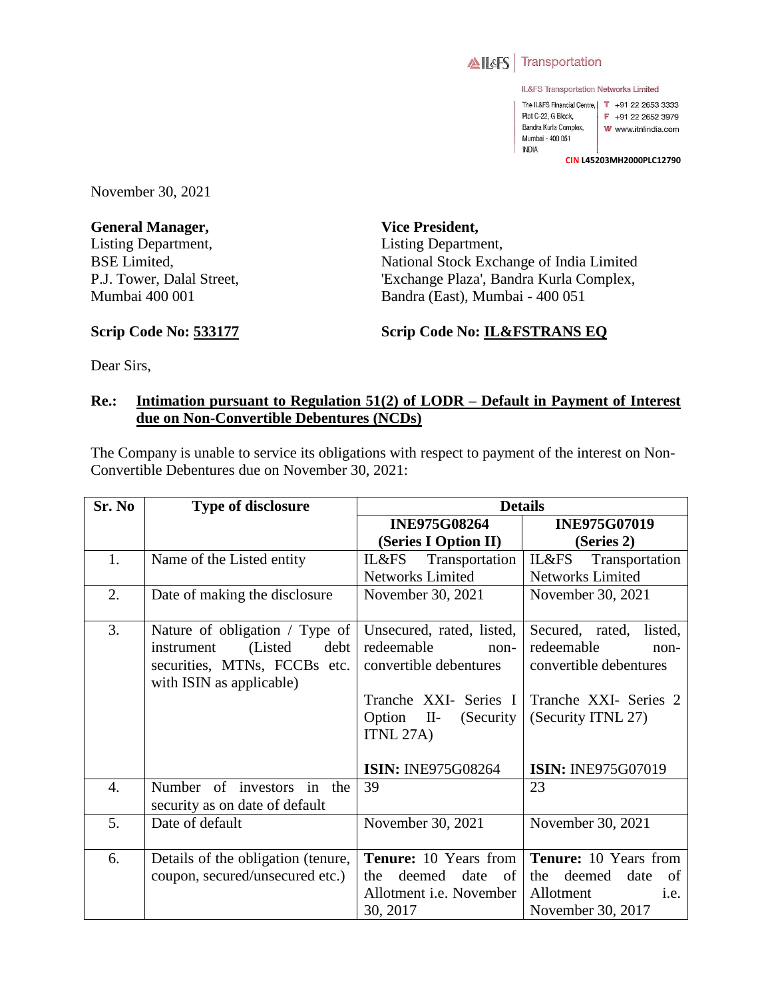

IL&FS Transportation Networks Limited

The IL&FS Financial Centre, | T +91 22 2653 3333 Plot C-22, G Block, F +91 22 2652 3979 Bandra Kurla Complex, W www.itnlindia.com Mumbai - 400 051 **INDIA** 

**CIN L45203MH2000PLC12790**

November 30, 2021

**General Manager,**  Listing Department, BSE Limited, P.J. Tower, Dalal Street, Mumbai 400 001

**Vice President,**  Listing Department, National Stock Exchange of India Limited 'Exchange Plaza', Bandra Kurla Complex, Bandra (East), Mumbai - 400 051

**Scrip Code No: 533177**

**Scrip Code No: IL&FSTRANS EQ**

Dear Sirs,

## **Re.: Intimation pursuant to Regulation 51(2) of LODR – Default in Payment of Interest due on Non-Convertible Debentures (NCDs)**

The Company is unable to service its obligations with respect to payment of the interest on Non-Convertible Debentures due on November 30, 2021:

| Sr. No | <b>Type of disclosure</b>                                                                                                      | <b>Details</b>                                                              |                                                                         |  |
|--------|--------------------------------------------------------------------------------------------------------------------------------|-----------------------------------------------------------------------------|-------------------------------------------------------------------------|--|
|        |                                                                                                                                | <b>INE975G08264</b>                                                         | <b>INE975G07019</b>                                                     |  |
|        |                                                                                                                                | (Series I Option II)                                                        | (Series 2)                                                              |  |
| 1.     | Name of the Listed entity                                                                                                      | IL&FS<br>Transportation                                                     | IL&FS<br>Transportation                                                 |  |
|        |                                                                                                                                | <b>Networks Limited</b>                                                     | <b>Networks Limited</b>                                                 |  |
| 2.     | Date of making the disclosure                                                                                                  | November 30, 2021                                                           | November 30, 2021                                                       |  |
| 3.     | Nature of obligation / Type of<br>(Listed)<br>debt  <br>instrument<br>securities, MTNs, FCCBs etc.<br>with ISIN as applicable) | Unsecured, rated, listed,<br>redeemable<br>$non-$<br>convertible debentures | Secured, rated, listed,<br>redeemable<br>non-<br>convertible debentures |  |
|        |                                                                                                                                | Tranche XXI- Series I<br>$\mathbf{II}$<br>(Security)<br>Option<br>ITNL 27A) | Tranche XXI- Series 2<br>(Security ITNL 27)                             |  |
|        |                                                                                                                                | <b>ISIN: INE975G08264</b>                                                   | <b>ISIN: INE975G07019</b>                                               |  |
| 4.     | in the<br>Number of investors<br>security as on date of default                                                                | 39                                                                          | 23                                                                      |  |
| 5.     | Date of default                                                                                                                | November 30, 2021                                                           | November 30, 2021                                                       |  |
| 6.     | Details of the obligation (tenure,                                                                                             | <b>Tenure:</b> 10 Years from                                                | Tenure: 10 Years from                                                   |  |
|        | coupon, secured/unsecured etc.)                                                                                                | date<br>deemed<br>of<br>the.                                                | deemed date<br>the<br>of                                                |  |
|        |                                                                                                                                | Allotment <i>i.e.</i> November                                              | Allotment<br>i.e.                                                       |  |
|        |                                                                                                                                | 30, 2017                                                                    | November 30, 2017                                                       |  |